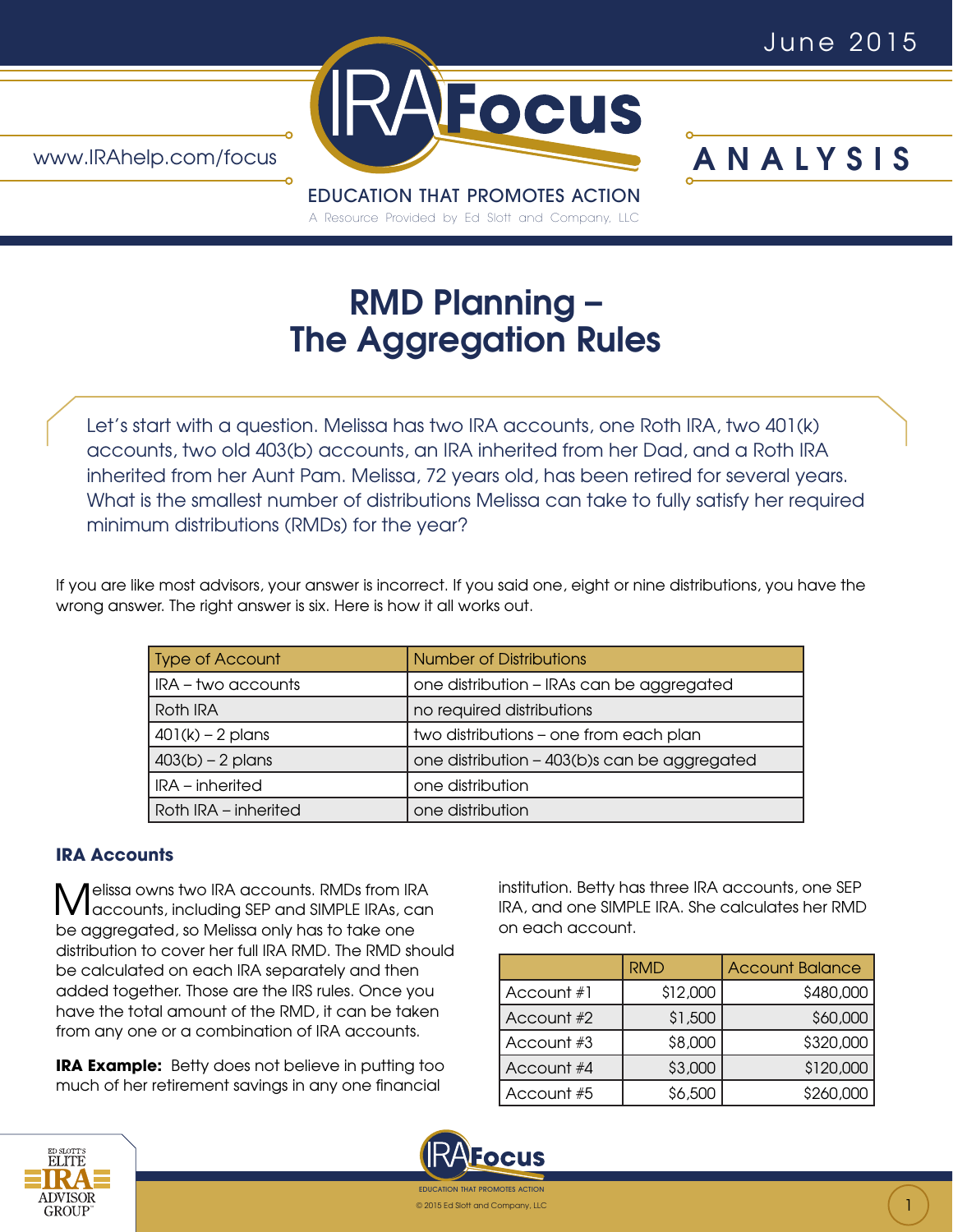

EDUCATION THAT PROMOTES ACTION A Resource Provided by Ed Slott and Company, LLC

# RMD Planning – The Aggregation Rules

Let's start with a question. Melissa has two IRA accounts, one Roth IRA, two 401(k) accounts, two old 403(b) accounts, an IRA inherited from her Dad, and a Roth IRA inherited from her Aunt Pam. Melissa, 72 years old, has been retired for several years. What is the smallest number of distributions Melissa can take to fully satisfy her required minimum distributions (RMDs) for the year?

If you are like most advisors, your answer is incorrect. If you said one, eight or nine distributions, you have the wrong answer. The right answer is six. Here is how it all works out.

| <b>Type of Account</b> | <b>Number of Distributions</b>               |  |
|------------------------|----------------------------------------------|--|
| IRA - two accounts     | one distribution - IRAs can be aggregated    |  |
| Roth IRA               | no required distributions                    |  |
| $401(k) - 2$ plans     | two distributions - one from each plan       |  |
| $403(b) - 2$ plans     | one distribution - 403(b)s can be aggregated |  |
| <b>IRA</b> – inherited | one distribution                             |  |
| Roth IRA – inherited   | one distribution                             |  |

## **IRA Accounts**

Melissa owns two IRA accounts. RMDs from IRA accounts, including SEP and SIMPLE IRAs, can be aggregated, so Melissa only has to take one distribution to cover her full IRA RMD. The RMD should be calculated on each IRA separately and then added together. Those are the IRS rules. Once you have the total amount of the RMD, it can be taken from any one or a combination of IRA accounts.

**IRA Example:** Betty does not believe in putting too much of her retirement savings in any one financial

institution. Betty has three IRA accounts, one SEP IRA, and one SIMPLE IRA. She calculates her RMD on each account.

|            | <b>RMD</b> | <b>Account Balance</b> |
|------------|------------|------------------------|
| Account #1 | \$12,000   | \$480,000              |
| Account #2 | \$1,500    | \$60,000               |
| Account #3 | \$8,000    | \$320,000              |
| Account #4 | \$3,000    | \$120,000              |
| Account #5 | \$6,500    | \$260,000              |



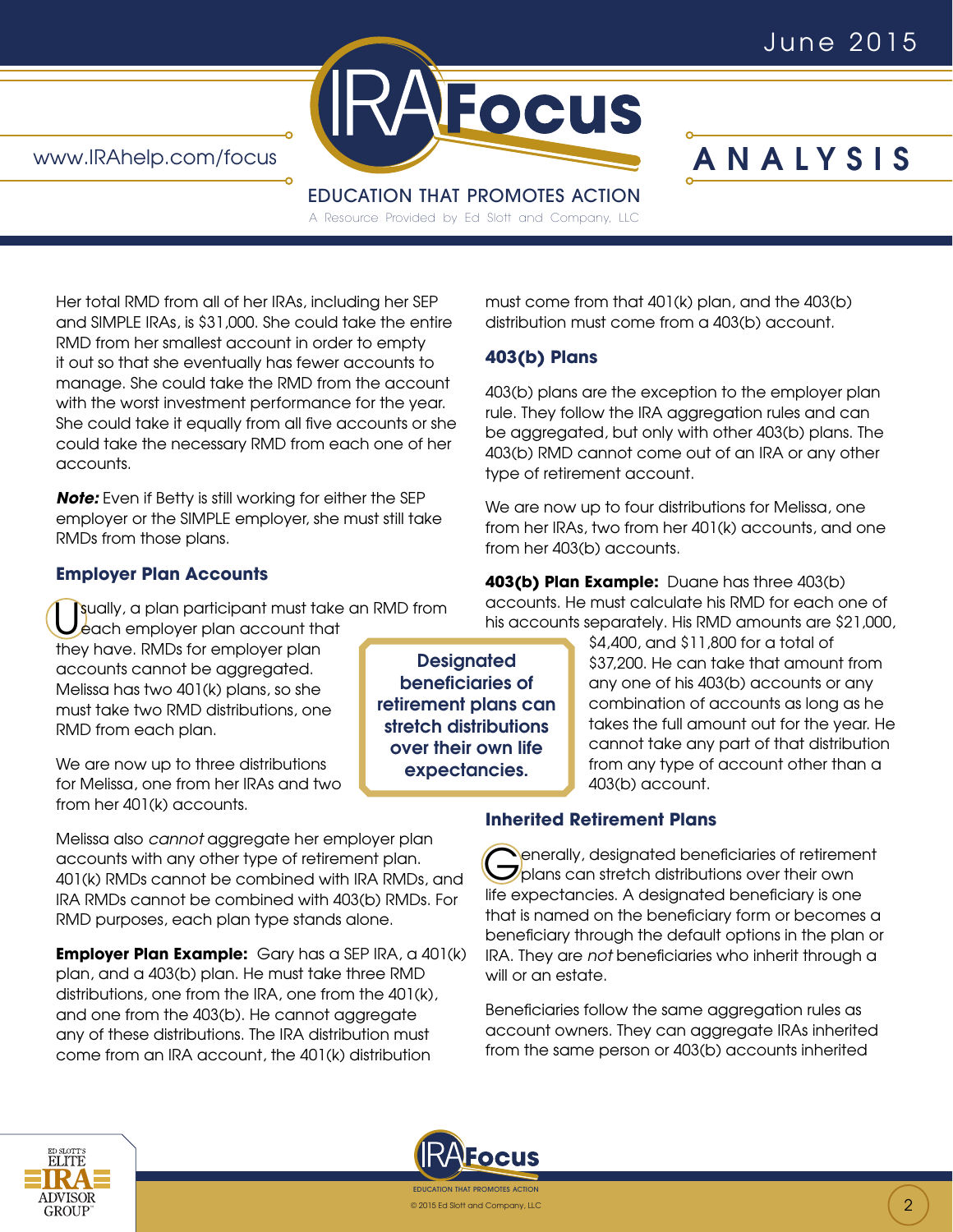

EDUCATION THAT PROMOTES ACTION

A Resource Provided by Ed Slott and Company, LLC

**Designated** beneficiaries of retirement plans can stretch distributions over their own life expectancies.

Her total RMD from all of her IRAs, including her SEP and SIMPLE IRAs, is \$31,000. She could take the entire RMD from her smallest account in order to empty it out so that she eventually has fewer accounts to manage. She could take the RMD from the account with the worst investment performance for the year. She could take it equally from all five accounts or she could take the necessary RMD from each one of her accounts.

*Note:* Even if Betty is still working for either the SEP employer or the SIMPLE employer, she must still take RMDs from those plans.

#### **Employer Plan Accounts**

sually, a plan participant must take an RMD from each employer plan account that

they have. RMDs for employer plan accounts cannot be aggregated. Melissa has two 401(k) plans, so she must take two RMD distributions, one RMD from each plan.

We are now up to three distributions for Melissa, one from her IRAs and two from her 401(k) accounts.

Melissa also *cannot* aggregate her employer plan accounts with any other type of retirement plan. 401(k) RMDs cannot be combined with IRA RMDs, and IRA RMDs cannot be combined with 403(b) RMDs. For RMD purposes, each plan type stands alone.

**Employer Plan Example:** Gary has a SEP IRA, a 401(k) plan, and a 403(b) plan. He must take three RMD distributions, one from the IRA, one from the 401(k), and one from the 403(b). He cannot aggregate any of these distributions. The IRA distribution must come from an IRA account, the 401(k) distribution

must come from that 401(k) plan, and the 403(b) distribution must come from a 403(b) account.

# **403(b) Plans**

403(b) plans are the exception to the employer plan rule. They follow the IRA aggregation rules and can be aggregated, but only with other 403(b) plans. The 403(b) RMD cannot come out of an IRA or any other type of retirement account.

We are now up to four distributions for Melissa, one from her IRAs, two from her 401(k) accounts, and one from her 403(b) accounts.

**403(b) Plan Example:** Duane has three 403(b) accounts. He must calculate his RMD for each one of his accounts separately. His RMD amounts are \$21,000,

> \$4,400, and \$11,800 for a total of \$37,200. He can take that amount from any one of his 403(b) accounts or any combination of accounts as long as he takes the full amount out for the year. He cannot take any part of that distribution from any type of account other than a 403(b) account.

#### **Inherited Retirement Plans**

Generally, designated beneficiaries of retirement<br>Oplans can stretch distributions over their own life expectancies. A designated beneficiary is one that is named on the beneficiary form or becomes a beneficiary through the default options in the plan or IRA. They are *not* beneficiaries who inherit through a will or an estate.

Beneficiaries follow the same aggregation rules as account owners. They can aggregate IRAs inherited from the same person or 403(b) accounts inherited